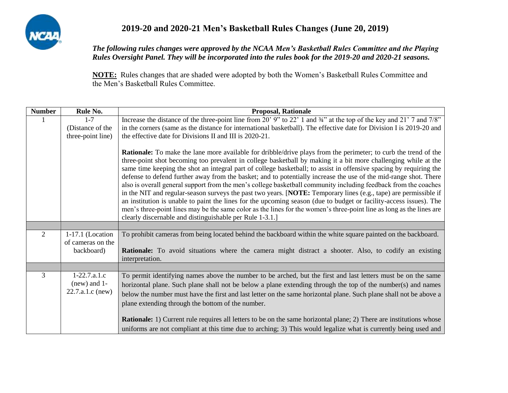

## **2019-20 and 2020-21 Men's Basketball Rules Changes (June 20, 2019)**

## *The following rules changes were approved by the NCAA Men's Basketball Rules Committee and the Playing Rules Oversight Panel. They will be incorporated into the rules book for the 2019-20 and 2020-21 seasons.*

**NOTE:** Rules changes that are shaded were adopted by both the Women's Basketball Rules Committee and the Men's Basketball Rules Committee.

| <b>Number</b>  | Rule No.                                             | <b>Proposal, Rationale</b>                                                                                                                                                                                                                                                                                                                                                                                                                                                                                                                                                                                                                                                                                                                                                                                                                                                                                                                                                                                                          |
|----------------|------------------------------------------------------|-------------------------------------------------------------------------------------------------------------------------------------------------------------------------------------------------------------------------------------------------------------------------------------------------------------------------------------------------------------------------------------------------------------------------------------------------------------------------------------------------------------------------------------------------------------------------------------------------------------------------------------------------------------------------------------------------------------------------------------------------------------------------------------------------------------------------------------------------------------------------------------------------------------------------------------------------------------------------------------------------------------------------------------|
|                | $1 - 7$                                              | Increase the distance of the three-point line from 20' 9" to 22' 1 and 34" at the top of the key and 21' 7 and 7/8"                                                                                                                                                                                                                                                                                                                                                                                                                                                                                                                                                                                                                                                                                                                                                                                                                                                                                                                 |
|                | (Distance of the                                     | in the corners (same as the distance for international basketball). The effective date for Division I is 2019-20 and                                                                                                                                                                                                                                                                                                                                                                                                                                                                                                                                                                                                                                                                                                                                                                                                                                                                                                                |
|                | three-point line)                                    | the effective date for Divisions II and III is 2020-21.                                                                                                                                                                                                                                                                                                                                                                                                                                                                                                                                                                                                                                                                                                                                                                                                                                                                                                                                                                             |
|                |                                                      | <b>Rationale:</b> To make the lane more available for dribble/drive plays from the perimeter; to curb the trend of the<br>three-point shot becoming too prevalent in college basketball by making it a bit more challenging while at the<br>same time keeping the shot an integral part of college basketball; to assist in offensive spacing by requiring the<br>defense to defend further away from the basket; and to potentially increase the use of the mid-range shot. There<br>also is overall general support from the men's college basketball community including feedback from the coaches<br>in the NIT and regular-season surveys the past two years. [NOTE: Temporary lines (e.g., tape) are permissible if<br>an institution is unable to paint the lines for the upcoming season (due to budget or facility-access issues). The<br>men's three-point lines may be the same color as the lines for the women's three-point line as long as the lines are<br>clearly discernable and distinguishable per Rule 1-3.1.] |
|                |                                                      |                                                                                                                                                                                                                                                                                                                                                                                                                                                                                                                                                                                                                                                                                                                                                                                                                                                                                                                                                                                                                                     |
| $\overline{2}$ | 1-17.1 (Location<br>of cameras on the                | To prohibit cameras from being located behind the backboard within the white square painted on the backboard.                                                                                                                                                                                                                                                                                                                                                                                                                                                                                                                                                                                                                                                                                                                                                                                                                                                                                                                       |
|                | backboard)                                           | Rationale: To avoid situations where the camera might distract a shooter. Also, to codify an existing<br>interpretation.                                                                                                                                                                                                                                                                                                                                                                                                                                                                                                                                                                                                                                                                                                                                                                                                                                                                                                            |
|                |                                                      |                                                                                                                                                                                                                                                                                                                                                                                                                                                                                                                                                                                                                                                                                                                                                                                                                                                                                                                                                                                                                                     |
| 3              | $1-22.7.a.1.c$<br>$(new)$ and 1-<br>22.7.a.1.c (new) | To permit identifying names above the number to be arched, but the first and last letters must be on the same<br>horizontal plane. Such plane shall not be below a plane extending through the top of the number(s) and names<br>below the number must have the first and last letter on the same horizontal plane. Such plane shall not be above a<br>plane extending through the bottom of the number.                                                                                                                                                                                                                                                                                                                                                                                                                                                                                                                                                                                                                            |
|                |                                                      | <b>Rationale:</b> 1) Current rule requires all letters to be on the same horizontal plane; 2) There are institutions whose<br>uniforms are not compliant at this time due to arching; 3) This would legalize what is currently being used and                                                                                                                                                                                                                                                                                                                                                                                                                                                                                                                                                                                                                                                                                                                                                                                       |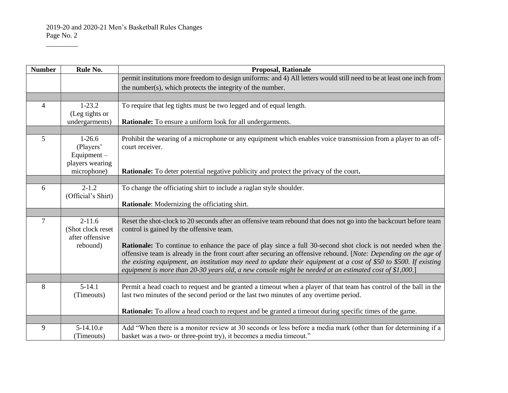$\overline{\phantom{a}}$ 

| <b>Number</b>  | Rule No.           | <b>Proposal, Rationale</b>                                                                                            |
|----------------|--------------------|-----------------------------------------------------------------------------------------------------------------------|
|                |                    | permit institutions more freedom to design uniforms: and 4) All letters would still need to be at least one inch from |
|                |                    | the number(s), which protects the integrity of the number.                                                            |
|                |                    |                                                                                                                       |
| $\overline{4}$ | $1-23.2$           | To require that leg tights must be two legged and of equal length.                                                    |
|                | (Leg tights or     |                                                                                                                       |
|                | undergarments)     | Rationale: To ensure a uniform look for all undergarments.                                                            |
|                |                    |                                                                                                                       |
| 5              | $1-26.6$           | Prohibit the wearing of a microphone or any equipment which enables voice transmission from a player to an off-       |
|                | (Players'          | court receiver.                                                                                                       |
|                | Equipment $-$      |                                                                                                                       |
|                | players wearing    |                                                                                                                       |
|                | microphone)        | <b>Rationale:</b> To deter potential negative publicity and protect the privacy of the court.                         |
| 6              | $2 - 1.2$          | To change the officiating shirt to include a raglan style shoulder.                                                   |
|                | (Official's Shirt) |                                                                                                                       |
|                |                    | Rationale: Modernizing the officiating shirt.                                                                         |
|                |                    |                                                                                                                       |
| $\tau$         | $2 - 11.6$         | Reset the shot-clock to 20 seconds after an offensive team rebound that does not go into the backcourt before team    |
|                | (Shot clock reset  | control is gained by the offensive team.                                                                              |
|                | after offensive    |                                                                                                                       |
|                | rebound)           | <b>Rationale:</b> To continue to enhance the pace of play since a full 30-second shot clock is not needed when the    |
|                |                    | offensive team is already in the front court after securing an offensive rebound. [Note: Depending on the age of      |
|                |                    | the existing equipment, an institution may need to update their equipment at a cost of \$50 to \$500. If existing     |
|                |                    | equipment is more than 20-30 years old, a new console might be needed at an estimated cost of \$1,000.]               |
| 8              | $5-14.1$           | Permit a head coach to request and be granted a timeout when a player of that team has control of the ball in the     |
|                | (Timeouts)         | last two minutes of the second period or the last two minutes of any overtime period.                                 |
|                |                    |                                                                                                                       |
|                |                    | <b>Rationale:</b> To allow a head coach to request and be granted a timeout during specific times of the game.        |
|                |                    |                                                                                                                       |
| 9              | 5-14.10.e          | Add "When there is a monitor review at 30 seconds or less before a media mark (other than for determining if a        |
|                | (Timeouts)         | basket was a two- or three-point try), it becomes a media timeout."                                                   |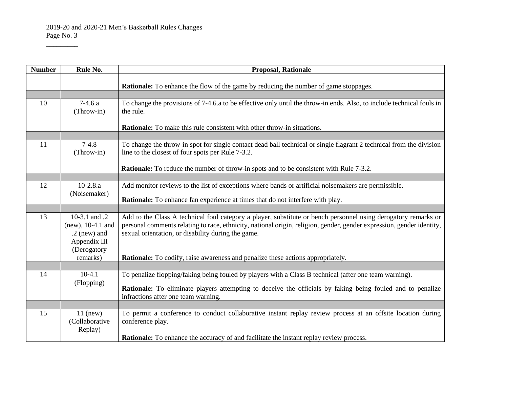2019-20 and 2020-21 Men's Basketball Rules Changes Page No. 3

 $\overline{\phantom{a}}$ 

| <b>Number</b> | Rule No.                                                                              | <b>Proposal, Rationale</b>                                                                                                                                                                                                                                                                    |
|---------------|---------------------------------------------------------------------------------------|-----------------------------------------------------------------------------------------------------------------------------------------------------------------------------------------------------------------------------------------------------------------------------------------------|
|               |                                                                                       | <b>Rationale:</b> To enhance the flow of the game by reducing the number of game stoppages.                                                                                                                                                                                                   |
|               |                                                                                       |                                                                                                                                                                                                                                                                                               |
| 10            | $7-4.6a$<br>(Throw-in)                                                                | To change the provisions of 7-4.6.a to be effective only until the throw-in ends. Also, to include technical fouls in<br>the rule.                                                                                                                                                            |
|               |                                                                                       | <b>Rationale:</b> To make this rule consistent with other throw-in situations.                                                                                                                                                                                                                |
|               |                                                                                       |                                                                                                                                                                                                                                                                                               |
| 11            | $7-4.8$<br>(Throw-in)                                                                 | To change the throw-in spot for single contact dead ball technical or single flagrant 2 technical from the division<br>line to the closest of four spots per Rule 7-3.2.                                                                                                                      |
|               |                                                                                       | <b>Rationale:</b> To reduce the number of throw-in spots and to be consistent with Rule 7-3.2.                                                                                                                                                                                                |
|               |                                                                                       |                                                                                                                                                                                                                                                                                               |
| 12            | $10-2.8.a$                                                                            | Add monitor reviews to the list of exceptions where bands or artificial noisemakers are permissible.                                                                                                                                                                                          |
|               | (Noisemaker)                                                                          | <b>Rationale:</b> To enhance fan experience at times that do not interfere with play.                                                                                                                                                                                                         |
|               |                                                                                       |                                                                                                                                                                                                                                                                                               |
| 13            | 10-3.1 and .2<br>$(new), 10-4.1$ and<br>$.2$ (new) and<br>Appendix III<br>(Derogatory | Add to the Class A technical foul category a player, substitute or bench personnel using derogatory remarks or<br>personal comments relating to race, ethnicity, national origin, religion, gender, gender expression, gender identity,<br>sexual orientation, or disability during the game. |
|               | remarks)                                                                              | <b>Rationale:</b> To codify, raise awareness and penalize these actions appropriately.                                                                                                                                                                                                        |
|               |                                                                                       |                                                                                                                                                                                                                                                                                               |
| 14            | $10-4.1$                                                                              | To penalize flopping/faking being fouled by players with a Class B technical (after one team warning).                                                                                                                                                                                        |
|               | (Flopping)                                                                            | <b>Rationale:</b> To eliminate players attempting to deceive the officials by faking being fouled and to penalize                                                                                                                                                                             |
|               |                                                                                       | infractions after one team warning.                                                                                                                                                                                                                                                           |
|               |                                                                                       |                                                                                                                                                                                                                                                                                               |
| 15            | $11$ (new)<br>(Collaborative<br>Replay)                                               | To permit a conference to conduct collaborative instant replay review process at an offsite location during<br>conference play.                                                                                                                                                               |
|               |                                                                                       | <b>Rationale:</b> To enhance the accuracy of and facilitate the instant replay review process.                                                                                                                                                                                                |